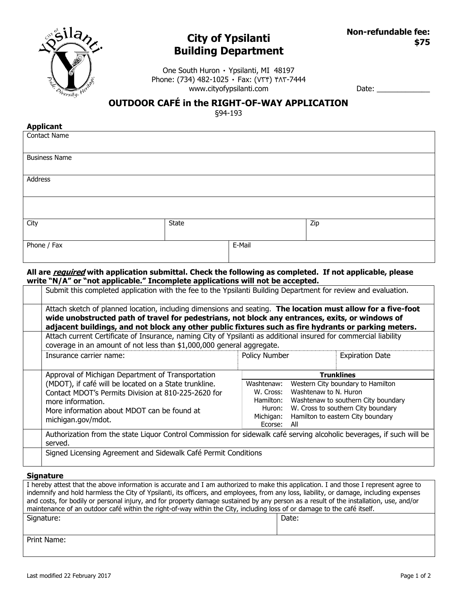

## **City of Ypsilanti Building Department**

One South Huron · Ypsilanti, MI 48197 Phone: (734) 482-1025  $\cdot$  Fax: (VYY)  $Y \wedge Y$ -7444 www.cityofypsilanti.com

Date: \_\_\_\_\_\_\_\_\_\_\_\_\_

## **OUTDOOR CAFÉ in the RIGHT-OF-WAY APPLICATION**

§94-193

| <b>Applicant</b>     |       |        |     |
|----------------------|-------|--------|-----|
| <b>Contact Name</b>  |       |        |     |
| <b>Business Name</b> |       |        |     |
| Address              |       |        |     |
|                      |       |        |     |
| City                 | State |        | Zip |
| Phone / Fax          |       | E-Mail |     |

#### **All are required with application submittal. Check the following as completed. If not applicable, please write "N/A" or "not applicable." Incomplete applications will not be accepted.**

| Submit this completed application with the fee to the Ypsilanti Building Department for review and evaluation.                                                                                                                                                                                                          |                      |                                                                         |                                     |  |  |
|-------------------------------------------------------------------------------------------------------------------------------------------------------------------------------------------------------------------------------------------------------------------------------------------------------------------------|----------------------|-------------------------------------------------------------------------|-------------------------------------|--|--|
| Attach sketch of planned location, including dimensions and seating. The location must allow for a five-foot<br>wide unobstructed path of travel for pedestrians, not block any entrances, exits, or windows of<br>adjacent buildings, and not block any other public fixtures such as fire hydrants or parking meters. |                      |                                                                         |                                     |  |  |
| Attach current Certificate of Insurance, naming City of Ypsilanti as additional insured for commercial liability<br>coverage in an amount of not less than \$1,000,000 general aggregate.                                                                                                                               |                      |                                                                         |                                     |  |  |
| Insurance carrier name:                                                                                                                                                                                                                                                                                                 | Policy Number        |                                                                         | <b>Expiration Date</b>              |  |  |
| Approval of Michigan Department of Transportation                                                                                                                                                                                                                                                                       | <b>Trunklines</b>    |                                                                         |                                     |  |  |
| (MDOT), if café will be located on a State trunkline.                                                                                                                                                                                                                                                                   | Washtenaw:           |                                                                         | Western City boundary to Hamilton   |  |  |
| Contact MDOT's Permits Division at 810-225-2620 for                                                                                                                                                                                                                                                                     | W. Cross:            | Washtenaw to N. Huron                                                   |                                     |  |  |
| more information.                                                                                                                                                                                                                                                                                                       | Hamilton:            |                                                                         | Washtenaw to southern City boundary |  |  |
| More information about MDOT can be found at                                                                                                                                                                                                                                                                             | Huron:               | W. Cross to southern City boundary<br>Hamilton to eastern City boundary |                                     |  |  |
| michigan.gov/mdot.                                                                                                                                                                                                                                                                                                      | Michigan:<br>Ecorse: | All                                                                     |                                     |  |  |
| Authorization from the state Liquor Control Commission for sidewalk café serving alcoholic beverages, if such will be<br>served.                                                                                                                                                                                        |                      |                                                                         |                                     |  |  |
|                                                                                                                                                                                                                                                                                                                         |                      |                                                                         |                                     |  |  |

#### **Signature**

| I hereby attest that the above information is accurate and I am authorized to make this application. I and those I represent agree to   |       |  |  |  |
|-----------------------------------------------------------------------------------------------------------------------------------------|-------|--|--|--|
| indemnify and hold harmless the City of Ypsilanti, its officers, and employees, from any loss, liability, or damage, including expenses |       |  |  |  |
| and costs, for bodily or personal injury, and for property damage sustained by any person as a result of the installation, use, and/or  |       |  |  |  |
| maintenance of an outdoor café within the right-of-way within the City, including loss of or damage to the café itself.                 |       |  |  |  |
| Signature:                                                                                                                              | Date: |  |  |  |
|                                                                                                                                         |       |  |  |  |
|                                                                                                                                         |       |  |  |  |
| Print Name:                                                                                                                             |       |  |  |  |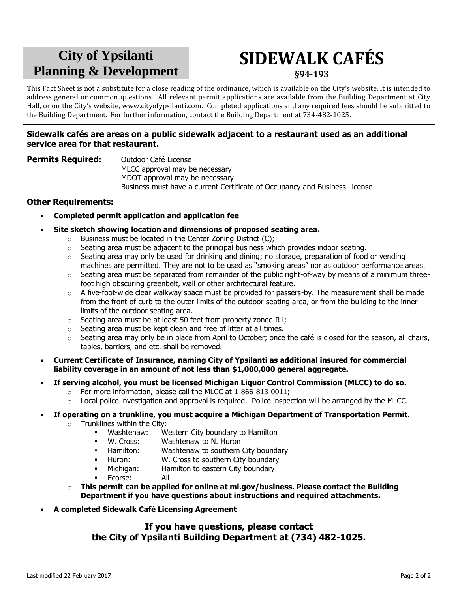# **City of Ypsilanti Planning & Development**

# **SIDEWALK CAFÉS**

**§94-193**

This Fact Sheet is not a substitute for a close reading of the ordinance, which is available on the City's website. It is intended to address general or common questions. All relevant permit applications are available from the Building Department at City Hall, or on the City's website, www.cityofypsilanti.com. Completed applications and any required fees should be submitted to the Building Department. For further information, contact the Building Department at 734-482-1025.

#### **Sidewalk cafés are areas on a public sidewalk adjacent to a restaurant used as an additional service area for that restaurant.**

**Permits Required:** Outdoor Café License MLCC approval may be necessary MDOT approval may be necessary Business must have a current Certificate of Occupancy and Business License

#### **Other Requirements:**

- **Completed permit application and application fee**
- **Site sketch showing location and dimensions of proposed seating area.**
	- o Business must be located in the Center Zoning District (C);
	- $\circ$  Seating area must be adjacent to the principal business which provides indoor seating.
	- $\circ$  Seating area may only be used for drinking and dining; no storage, preparation of food or vending machines are permitted. They are not to be used as "smoking areas" nor as outdoor performance areas.
	- $\circ$  Seating area must be separated from remainder of the public right-of-way by means of a minimum threefoot high obscuring greenbelt, wall or other architectural feature.
	- $\circ$  A five-foot-wide clear walkway space must be provided for passers-by. The measurement shall be made from the front of curb to the outer limits of the outdoor seating area, or from the building to the inner limits of the outdoor seating area.
	- o Seating area must be at least 50 feet from property zoned R1;
	- o Seating area must be kept clean and free of litter at all times.
	- $\circ$  Seating area may only be in place from April to October; once the café is closed for the season, all chairs, tables, barriers, and etc. shall be removed.
- **Current Certificate of Insurance, naming City of Ypsilanti as additional insured for commercial liability coverage in an amount of not less than \$1,000,000 general aggregate.**
- **If serving alcohol, you must be licensed Michigan Liquor Control Commission (MLCC) to do so.**
	- o For more information, please call the MLCC at 1-866-813-0011;
	- $\circ$  Local police investigation and approval is required. Police inspection will be arranged by the MLCC.

#### **If operating on a trunkline, you must acquire a Michigan Department of Transportation Permit.**

- $\circ$  Trunklines within the City:
	- Washtenaw: Western City boundary to Hamilton
	- W. Cross: Washtenaw to N. Huron
	- **-** Hamilton: Washtenaw to southern City boundary
	- **Huron:** W. Cross to southern City boundary
	- Michigan: Hamilton to eastern City boundary
		- Ecorse: All
- o **This permit can be applied for online at mi.gov/business. Please contact the Building Department if you have questions about instructions and required attachments.**
- **A completed Sidewalk Café Licensing Agreement**

#### **If you have questions, please contact the City of Ypsilanti Building Department at (734) 482-1025.**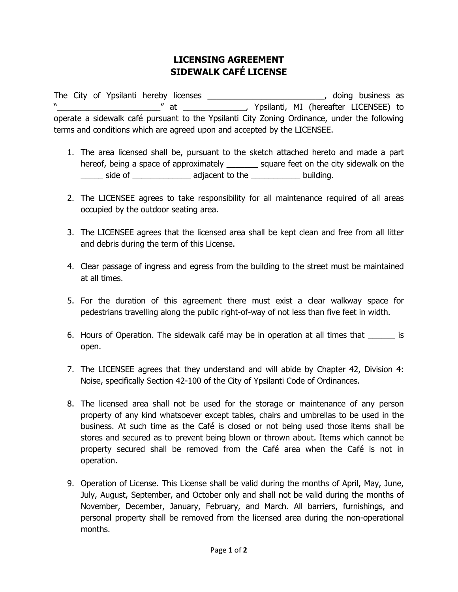### **LICENSING AGREEMENT SIDEWALK CAFÉ LICENSE**

The City of Ypsilanti hereby licenses \_\_\_\_\_\_\_\_\_\_\_\_\_\_\_\_\_\_\_\_\_\_\_\_\_\_, doing business as "\_\_\_\_\_\_\_\_\_\_\_\_\_\_\_\_\_\_\_\_\_\_\_" at \_\_\_\_\_\_\_\_\_\_\_\_\_\_, Ypsilanti, MI (hereafter LICENSEE) to operate a sidewalk café pursuant to the Ypsilanti City Zoning Ordinance, under the following terms and conditions which are agreed upon and accepted by the LICENSEE.

- 1. The area licensed shall be, pursuant to the sketch attached hereto and made a part hereof, being a space of approximately \_\_\_\_\_\_\_ square feet on the city sidewalk on the \_\_\_\_\_ side of \_\_\_\_\_\_\_\_\_\_\_\_\_ adjacent to the \_\_\_\_\_\_\_\_\_\_\_ building.
- 2. The LICENSEE agrees to take responsibility for all maintenance required of all areas occupied by the outdoor seating area.
- 3. The LICENSEE agrees that the licensed area shall be kept clean and free from all litter and debris during the term of this License.
- 4. Clear passage of ingress and egress from the building to the street must be maintained at all times.
- 5. For the duration of this agreement there must exist a clear walkway space for pedestrians travelling along the public right-of-way of not less than five feet in width.
- 6. Hours of Operation. The sidewalk café may be in operation at all times that is open.
- 7. The LICENSEE agrees that they understand and will abide by Chapter 42, Division 4: Noise, specifically Section 42-100 of the City of Ypsilanti Code of Ordinances.
- 8. The licensed area shall not be used for the storage or maintenance of any person property of any kind whatsoever except tables, chairs and umbrellas to be used in the business. At such time as the Café is closed or not being used those items shall be stores and secured as to prevent being blown or thrown about. Items which cannot be property secured shall be removed from the Café area when the Café is not in operation.
- 9. Operation of License. This License shall be valid during the months of April, May, June, July, August, September, and October only and shall not be valid during the months of November, December, January, February, and March. All barriers, furnishings, and personal property shall be removed from the licensed area during the non-operational months.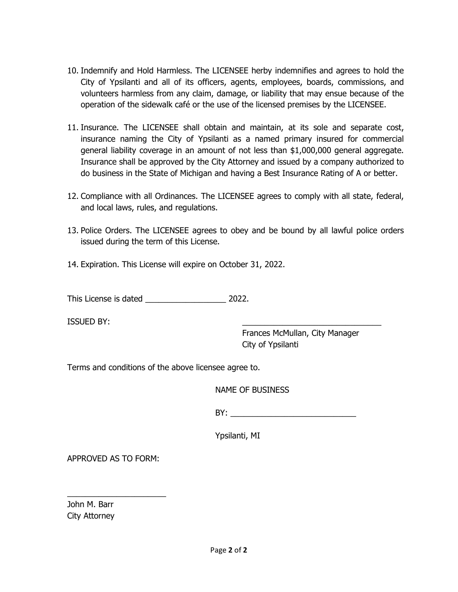- 10. Indemnify and Hold Harmless. The LICENSEE herby indemnifies and agrees to hold the City of Ypsilanti and all of its officers, agents, employees, boards, commissions, and volunteers harmless from any claim, damage, or liability that may ensue because of the operation of the sidewalk café or the use of the licensed premises by the LICENSEE.
- 11. Insurance. The LICENSEE shall obtain and maintain, at its sole and separate cost, insurance naming the City of Ypsilanti as a named primary insured for commercial general liability coverage in an amount of not less than \$1,000,000 general aggregate. Insurance shall be approved by the City Attorney and issued by a company authorized to do business in the State of Michigan and having a Best Insurance Rating of A or better.
- 12. Compliance with all Ordinances. The LICENSEE agrees to comply with all state, federal, and local laws, rules, and regulations.
- 13. Police Orders. The LICENSEE agrees to obey and be bound by all lawful police orders issued during the term of this License.
- 14. Expiration. This License will expire on October 31, 2022.

This License is dated \_\_\_\_\_\_\_\_\_\_\_\_\_\_\_\_\_\_ 2022.

ISSUED BY:

 Frances McMullan, City Manager City of Ypsilanti

Terms and conditions of the above licensee agree to.

NAME OF BUSINESS

 $BY:$ 

Ypsilanti, MI

APPROVED AS TO FORM:

 $\_$ 

John M. Barr City Attorney